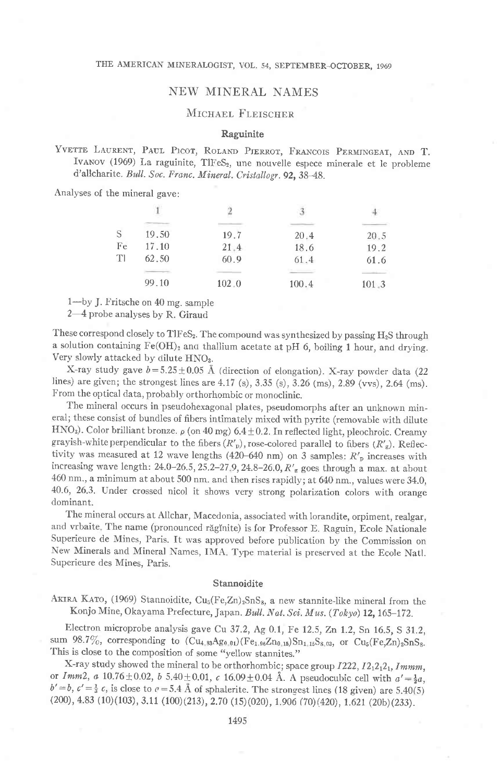# **NEW MINERAL NAMES**

# MICHAEL FLEISCHER

# Raguinite

YVETTE LAURENT, PAUL PICOT, ROLAND PIERROT, FRANCOIS PERMINGEAT, AND T. IVANOV (1969) La raguinite, TIFeS<sub>2</sub>, une nouvelle espece minerale et le probleme d'allcharite. Bull. Soc. Franc. Mineral. Cristallogr. 92, 38-48.

Analyses of the mineral gave:

| S  | 19.50 | 19.7  | 20.4  | 20.5  |
|----|-------|-------|-------|-------|
| Fe | 17.10 | 21.4  | 18.6  | 19.2  |
| TI | 62.50 | 60.9  | 61.4  | 61.6  |
|    | 99.10 | 102.0 | 100.4 | 101.3 |

1-by J. Fritsche on 40 mg. sample

2-4 probe analyses by R. Giraud

These correspond closely to TlFeS2. The compound was synthesized by passing H2S through a solution containing  $Fe(OH)_2$  and thallium acetate at pH 6, boiling 1 hour, and drying. Very slowly attacked by dilute HNO<sub>3</sub>.

X-ray study gave  $b = 5.25 \pm 0.05$  Å (direction of elongation). X-ray powder data (22 lines) are given; the strongest lines are 4.17 (s), 3.35 (s), 3.26 (ms), 2.89 (vvs), 2.64 (ms). From the optical data, probably orthorhombic or monoclinic.

The mineral occurs in pseudohexagonal plates, pseudomorphs after an unknown mineral; these consist of bundles of fibers intimately mixed with pyrite (removable with dilute HNO<sub>3</sub>). Color brilliant bronze.  $\rho$  (on 40 mg) 6.4 ± 0.2. In reflected light, pleochroic. Creamy grayish-white perpendicular to the fibers  $(R'_p)$ , rose-colored parallel to fibers  $(R'_g)$ . Reflectivity was measured at 12 wave lengths (420-640 nm) on 3 samples:  $R'_p$  increases with increasing wave length:  $24.0-26.5$ ,  $25.2-27.9$ ,  $24.8-26.0$ ,  $R'_{g}$  goes through a max. at about 460 nm., a minimum at about 500 nm. and then rises rapidly; at 640 nm., values were 34.0, 40.6, 26.3. Under crossed nicol it shows very strong polarization colors with orange dominant.

The mineral occurs at Allchar, Macedonia, associated with lorandite, orpiment, realgar, and vrbaite. The name (pronounced răginite) is for Professor E. Raguin, Ecole Nationale Superieure de Mines, Paris. It was approved before publication by the Commission on New Minerals and Mineral Names, IMA. Type material is preserved at the Ecole Natl. Superieure des Mines, Paris.

#### Stannoidite

AKIRA KATO, (1969) Stannoidite,  $Cu<sub>5</sub>(Fe,Zn)<sub>2</sub>SnS<sub>8</sub>$ , a new stannite-like mineral from the Konjo Mine, Okayama Prefecture, Japan. Bull. Nat. Sci. Mus. (Tokyo) 12, 165-172.

Electron microprobe analysis gave Cu 37.2, Ag 0.1, Fe 12.5, Zn 1.2, Sn 16.5, S 31.2, sum 98.7%, corresponding to  $(Cu_{4.83}Ag_{0.01})(Fe_{1.96}Zn_{0.15})Sn_{1.15}S_{8.03}$ , or  $Cu_{5}(Fe, Zn)_{2}SnS_{8}$ . This is close to the composition of some "yellow stannites."

X-ray study showed the mineral to be orthorhombic; space group I222, I212121, Immm, or Imm2, a 10.76 ± 0.02, b 5.40 ± 0.01, c 16.09 ± 0.04 Å. A pseudocubic cell with  $a' = \frac{1}{2}a$ ,  $b' = b$ ,  $c' = \frac{1}{3}c$ , is close to  $c = 5.4$  Å of sphalerite. The strongest lines (18 given) are 5.40(5)  $(200), 4.83 (10)(103), 3.11 (100)(213), 2.70 (15)(020), 1.906 (70)(420), 1.621 (20b)(233).$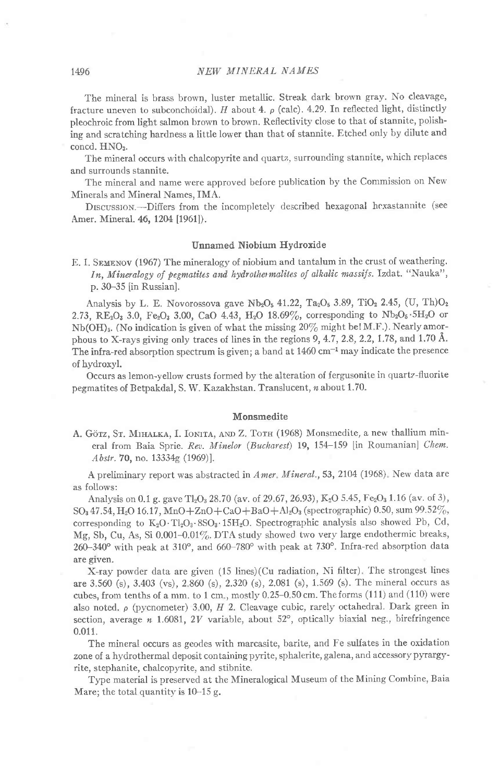## 1496 NEW MINERAL NAMES

The minerai is brass brown, Iuster metallic. Streak dark brown gray. No cleavage, fracture uneven to subconchoidal). H about 4.  $\rho$  (calc). 4.29. In reflected light, distinctly pleochroic from light salmon brown to brown. Reflectivity close to that of stannite, polishing and scratching hardness a little lower than that of stannite. Etched only by dilute and concd. HNO<sub>3</sub>.

The mineral occurs with chalcopyrite and quartz, surrounding stannite, which replaces and surrounds stannite.

The mineral and name were approved before pub)ication by the Commission on New Minerals and Mineral Names, IMA.

Drscussrom.-Difiers from the incompletely described hexagonal hexastannite (see Amer. Mineral. 46, 1204 [1961]).

## Unnamed Niobium Hydroride

E. I. SEMENOV (1967) The mineralogy of niobium and tantalum in the crust of weathering. In, Mineralogy of pegmatites and hydrothermalites of alkalic massifs. Izdat. "Nauka", p. 30-35 [in Russian].

Analysis by L. E. Novorossova gave Nb<sub>2</sub>O<sub>5</sub> 41.22, Ta<sub>2</sub>O<sub>5</sub> 3.89, TiO<sub>2</sub> 2.45, (U, Th)O<sub>2</sub> 2.73, RE<sub>2</sub>O<sub>3</sub> 3.0, Fe<sub>2</sub>O<sub>3</sub> 3.00, CaO 4.43, H<sub>2</sub>O 18.69%, corresponding to Nb<sub>2</sub>O<sub>5</sub> · 5H<sub>2</sub>O or Nb(OH)<sub>5</sub>. (No indication is given of what the missing  $20\%$  might be!M.F.). Nearly amorphous to X-rays giving only traces of lines in the regions 9, 4.7, 2.8, 2.2, 1.78, and 1.70 Å. The infra-red absorption spectrum is given; a band at  $1460 \text{ cm}^{-1}$  may indicate the presence of hydroxyl.

Occurs as lemon-yellow crusts formed by the alteration of fergusonite in quartz-fluorite pegmatites of Betpakdal, S. W. Kazakhstan. Translucent, n about 1.70.

#### Monsmedite

A. Görz, St. MIHALKA, I. IONITA, AND Z. TOTH (1968) Monsmedite, a new thallium mineral from Baia Sprie. Rev. Minelor (Bucharest) 19, 154-159 [in Roumanian] Chem. Abstr. 70, no.  $13334g(1969)$ ].

A preliminary report was abstracted in Amer. Mineral., 53, 2104 (1968). New data are as follows:

Analysis on 0.1 g. gave Tl<sub>2</sub>O<sub>3</sub> 28.70 (av. of 29.67, 26.93), K<sub>2</sub>O 5.45, Fe<sub>2</sub>O<sub>3</sub> 1.16 (av. of 3), SO<sub>3</sub> 47.54, H<sub>2</sub>O 16.17, MnO + ZnO + CaO + BaO + Al<sub>2</sub>O<sub>3</sub> (spectrographic) 0.50, sum 99.52%, corresponding to  $K_2O \cdot T_1O_3 \cdot 8SO_3 \cdot 15H_2O$ . Spectrographic analysis also showed Pb, Cd, Mg, Sb, Cu, As, Si 0.001-0.01%. DTA study showed two very large endothermic breaks, 260-340° with peak at 310°, and 660-780° with peak at 730°. Infra-red absorption data are glven.

X-ray powder data are given (15 lines)(Cu radiation, Ni filter). The strongest lines are 3.560 (s), 3.403 (vs), 2 860 (s),2.320 (s), 2.081 (s), 1.569 (s). The mineral occurs as cubes, from tenths of a mm. to 1 cm., mostly  $0.25-0.50$  cm. The forms (111) and (110) were also noted.  $\rho$  (pycnometer) 3.00,  $H$  2. Cleavage cubic, rarely octahedral. Dark green in section, average  $n$  1.6081, 2V variable, about 52°, optically biaxial neg., birefringence 0.011.

The mineral occurs as geodes with marcasite, barite, and Fe sulfates in the oxidation zone of a hydrothermal deposit containing pyrite, sphalerite, galena, and accessory pyrargyrite, stephanite, chalcopyrite, and stibnite.

Type material is preserved at the Mineralogical Museum of the Mining Combine, Baia Mare; the total quantity is  $10-15$  g.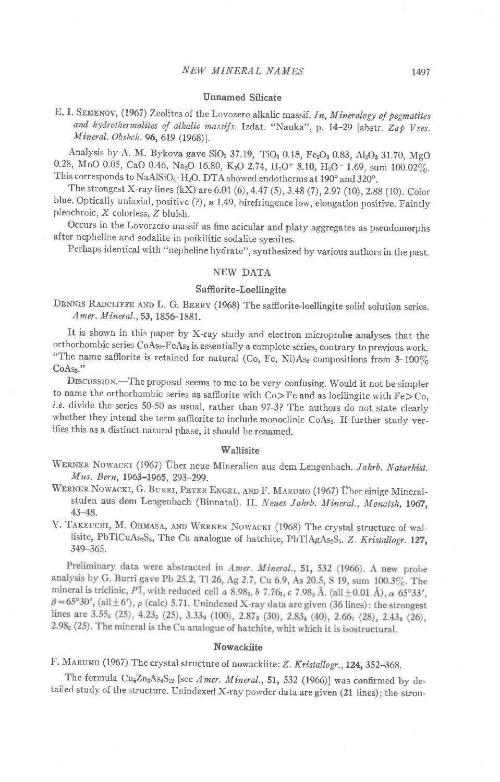## Unnamed Silicate

E. I. SEMENOV, (1967) Zeolites of the Lovozero alkalic massif. In, Mineralogy of pegmatites and hydrothermalites of alkalic massifs. Izdat. "Nauka", p. 14-29 [abstr. Zap Vses. Mineral. Obshch. 96, 619 (1968)].

Analysis by A. M. Bykova gave SiO<sub>2</sub> 37.19, TiO<sub>2</sub> 0.18, Fe<sub>2</sub>O<sub>3</sub> 0.83, Al<sub>2</sub>O<sub>3</sub> 31.70, MgO 0.28, MnO 0.05, CaO 0.46, Na<sub>2</sub>O 16.80, K<sub>2</sub>O 2.74, H<sub>2</sub>O<sup>+</sup> 8.10, H<sub>2</sub>O<sup>-</sup> 1.69, sum 100.02%. This corresponds to  $\text{NaAlSiO}_4 \cdot \text{H}_2\text{O}$ . DTA showed endotherms at 190° and 320°.

The strongest X-ray lines (kX) are 6.04 (6),4.42 (S), 3.48 (7) ,2.92 (10), 2.88 (10). Color blue. Optically uniaxial, positive  $(?)$ ,  $n$  1.49, birefringence low, elongation positive. Faintly pleochroic, X colorless, Z bluish.

occurs in the Lovorzero massif as fine acicular and platy aggregates as pseudomorphs after nepheline and sodalite in poikilitic sodalite syenites.

Perhaps identical with "nepheline hydrate", synthesized by various authors in the past.

# NEW DATA

#### Saflorite-Loellingite

DENNIS RADCLIFFE AND L. G. BERRY (1968) The safflorite-loellingite solid solution series. Amer. Mineral., 53, 1856-1881.

It is shown in this paper by X-ray study and electron microprobe analyses that the orthorhombic series CoAs<sub>2</sub>-FeAs<sub>2</sub> is essentially a complete series, contrary to previous work. "The name safflorite is retained for natural (Co, Fe, Ni)As<sub>2</sub> compositions from  $3-100\%$  $CoAs<sub>2</sub>$ ."

DrscussroN.-The proposal seems to me to be very confusing. would it not be simpler to name the orthorhombic series as safflorite with  $Co > Fe$  and as loellingite with  $Fe > Co$ , i.e. divide the series 50-50 as usual, rather than 97-3? The authors do not state clearly whether they intend the term safflorite to include monoclinic CoAs2. If further study verifies this as a distinct natural phase, it should be renamed.

#### Wallisite

WERNER NOWACKI (1967) Über neue Mineralien aus dem Lengenbach. Jahrb. Naturhist. Mus. Bern, 1963-1965, 293-299.

WERNER NOWACKI, G. BURRI, PETER ENGEL, AND F. MARUMO (1967) Über einige Mineralstufen aus dem Lengenbach (Binnatal). II. Neues Jahrb. Mineral., Monatsh, 1967, 43-48.

Y. TAKEUCHI, M. OHMASA, AND WERNER NOWACKI (1968) The crystal structure of wallisite, PbTlCuAs<sub>2</sub>S<sub>5</sub>, The Cu analogue of hatchite, PbTlAgAs<sub>2</sub>S<sub>5</sub>. Z. Kristallogr. 127, 349-365.

Preliminary data were abstracted in Amer. Mineral., 51, 532 (1966). A new probe analysis by G. Burri gave Pb 25.2, Tl 26, Ag 2.7, Cu 6.9, As 20.5, S 19, sum 100.3%. The mineral is triclinic, PI, with reduced cell a 8.98<sub>8</sub>, b 7.76<sub>1</sub>, c 7.98<sub>0</sub> Å. (all  $\pm$  0.01 Å),  $\alpha$  65°33',  $\beta$  = 65°30', (all  $\pm$  6'),  $\rho$  (calc) 5.71. Unindexed X-ray data are given (36 lines): the strongest lines are 3.55; (25), 4.23; (25), 3.33; (100), 2.87; (30), 2.83; (40), 2.667 (28), 2.43; (26), 2.98<sub>5</sub> (25). The mineral is the Cu analogue of hatchite, whit which it is isostructural.

# Nowackiite

F. MARUMO (1967) The crystal structure of nowackiite: Z. Kristallogr., 124, 352-368.

The formula Cu<sub>6</sub>Zn<sub>3</sub>As<sub>4</sub>S<sub>12</sub> [see Amer. Mineral., 51, 532 (1966)] was confirmed by detailed study of the structure. Unindexed X-ray powder data are given (21 lines); the stron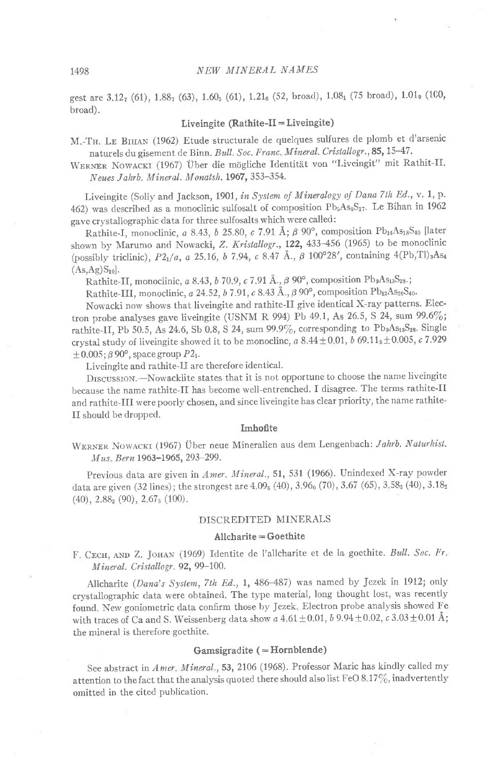gest are 3.127 (61), 1.887 (63), 1.60<sub>5</sub> (61), 1.21<sub>6</sub> (52, broad), 1.08<sub>1</sub> (75 broad), 1.01<sub>9</sub> (100, broad).

## Liveingite  $(Rathite-II = Liveingite)$

M.-TH. LE BIHAN (1962) Etude structurale de quelques sulfures de plomb et d'arsenic naturels du gisement de Binn. Bull. Soc. Franc. Mineral. Cristallogr., 85, 15-47.

WERNER NOWACKI (1967) Über die mögliche Identität von "Liveingit" mit Rathit-II. Neues Jahrb. Mineral. Monatsh. 1967, 353-354.

Liveingite (Solly and Jackson, 1901, in System of Mineralogy of Dana 7th Ed., v. 1, p. 462) was described as a monoclinic sulfosalt of composition Pb<sub>5</sub>As<sub>8</sub>S<sub>17</sub>. Le Bihan in 1962 gave crystallographic data for three sulfosalts which were called:

Rathite-I, monoclinic, a 8.43, b 25.80, c 7.91 Å;  $\beta$  90°, composition Pb<sub>14</sub>As<sub>18</sub>S<sub>40</sub> [later shown by Marumo and Nowacki, Z. Kristallogr., 122, 433-456 (1965) to be monoclinic (possibly triclinic), P21/a, a 25.16, b 7.94, c 8.47 Å.,  $\beta$  100°28', containing 4(Pb,Tl)<sub>3</sub>As<sub>4</sub>  $(As, Ag)S_{10}$ .

Rathite-II, monoclinic, a 8.43, b 70.9, c 7.91 Å.,  $\beta$  90°, composition Pb<sub>9</sub>As<sub>13</sub>S<sub>28</sub>.;

Rathite-III, monoclinic, a 24.52, b 7.91, c 8.43 Å.,  $\beta$  90°, composition Pb12As20S40.

Nowacki now shows that liveingite and rathite-II give identical X-ray patterns. Electron probe analyses gave liveingite (USNM R 994) Pb 49.1, As 26.5, S 24, sum 99.6%; rathite-II, Pb 50.5, As 24.6, Sb 0.8, S 24, sum 99.9%, corresponding to Pb<sub>9</sub>As<sub>13</sub>S<sub>28</sub>. Single crystal study of liveingite showed it to be monocline, a  $8.44 \pm 0.01$ , b  $69.11$ <sub>9</sub>  $\pm$  0.005, c 7.929  $\pm 0.005$ ;  $\beta$  90°, space group P2<sub>1</sub>.

Liveingite and rathite-II are therefore identical.

DISCUSSION. - Nowackiite states that it is not opportune to choose the name liveingite because the name rathite-II has become well-entrenched. I disagree. The terms rathite-II and rathite-III were poorly chosen, and since liveingite has clear priority, the name rathite-II should be dropped.

## Imhofite

WERNER NOWACKI (1967) Über neue Mineralien aus dem Lengenbach: Jahrb. Naturhist. Mus. Bern 1963-1965, 293-299.

Previous data are given in Amer. Mineral., 51, 531 (1966). Unindexed X-ray powder data are given (32 lines); the strongest are 4.09<sub>6</sub> (40), 3.96<sub>0</sub> (70), 3.67 (65), 3.58<sub>3</sub> (40), 3.18<sub>2</sub>  $(40)$ ,  $2.88<sub>3</sub>$   $(90)$ ,  $2.67<sub>5</sub>$   $(100)$ .

# DISCREDITED MINERALS

## Allcharite = Goethite

F. CECH, AND Z. JOHAN (1969) Identite de l'allcharite et de la goethite. Bull. Soc. Fr. Mineral. Cristallogr. 92, 99-100.

Allcharite (Dana's System, 7th Ed., 1, 486-487) was named by Jezek in 1912; only crystallographic data were obtained. The type material, long thought lost, was recently found. New goniometric data confirm those by Jezek. Electron probe analysis showed Fe with traces of Ca and S. Weissenberg data show a  $4.61 \pm 0.01$ ,  $b$  9.94 $\pm$ 0.02,  $c$  3.03 $\pm$ 0.01 Å; the mineral is therefore goethite.

## Gamsigradite (=Hornblende)

See abstract in Amer. Mineral., 53, 2106 (1968). Professor Maric has kindly called my attention to the fact that the analysis quoted there should also list FeO 8.17%, inadvertently omitted in the cited publication.